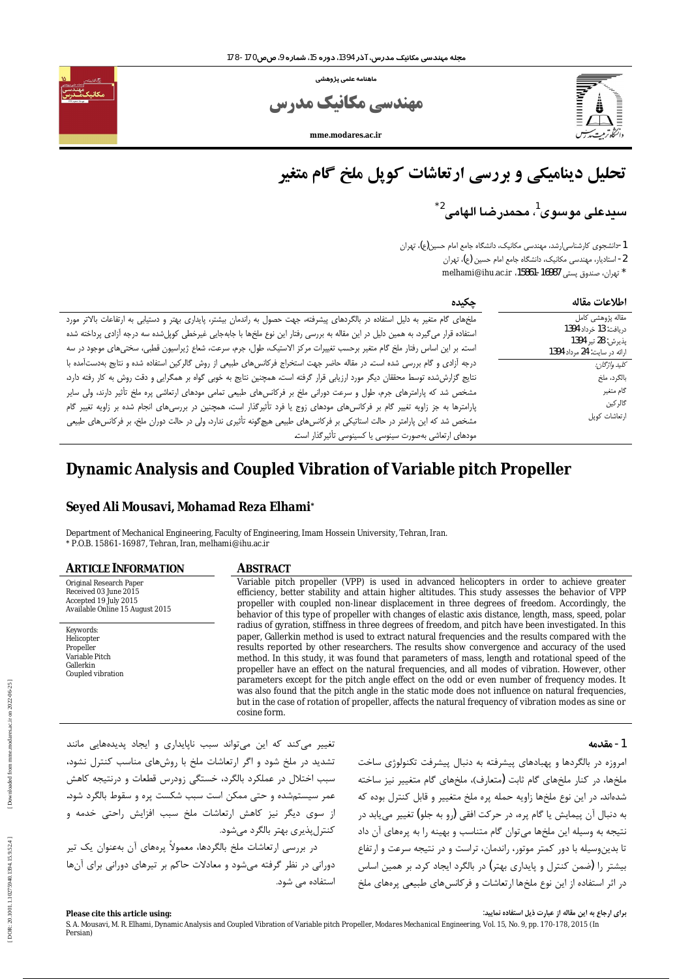

ماهنامه علمی پژوهشی

**ے، مکانیک مدرس** 

mme.modares.ac.ir

# تحلیل دینامیکی و بررسی ارتعاشات کوپل ملخ گام متغیر

سيدعلى موسوى<sup>1</sup>، محمدرضا الهامي<sup>2\*</sup>

1-دانشجوی کارشناسی|رشد، مهندسی مکانیک، دانشگاه جامع امام حسین(ع)، تهران 2- استادیار، مهندسی مکانیک، دانشگاه جامع امام حسین (ع)، تهران \* تهران، صندوق پستی 16987-15861، melhami@ihu.ac.ir

| چکیدہ                                                                                                                            | اطلاعات مقاله                               |
|----------------------------------------------------------------------------------------------------------------------------------|---------------------------------------------|
| ملخهای گام متغیر به دلیل استفاده در بالگردهای پیشرفته، جهت حصول به راندمان بیشتر، پایداری بهتر و دستیابی به ارتفاعات بالاتر مورد | مقاله پژوهشی کامل                           |
| استفاده قرار میگیرد، به همین دلیل در این مقاله به بررسی رفتار این نوع ملخها با جابهجایی غیرخطی کوپلشده سه درجه آزادی پرداخته شده | دريافت: 13 خرداد 1394<br>پذيرش: 28 تير 1394 |
| است. بر این اساس رفتار ملخ گام متغیر برحسب تغییرات مرکز الاستیک، طول، جرم، سرعت، شعاع ژیراسیون قطبی، سختیهای موجود در سه         | ارائه در سایت: 24 مرداد 1394                |
| درجه آزادی و گام بررسی شده است. در مقاله حاضر جهت استخراج فرکانسهای طبیعی از روش گالرکین استفاده شده و نتایج بهدستآمده با        | كليد واژگان:                                |
| نتایج گزارششده توسط محققان دیگر مورد ارزیابی قرار گرفته است، همچنین نتایج به خوبی گواه بر همگرایی و دقت روش به کار رفته دارد،    | بالگرد، ملخ                                 |
| مشخص شد که پارامترهای جرم، طول و سرعت دورانی ملخ بر فرکانسهای طبیعی تمامی مودهای ارتعاشی پره ملخ تأثیر دارند، ولی سایر           | گام متغير                                   |
| پارامترها به جز زاویه تغییر گام بر فرکانسهای مودهای زوج یا فرد تأثیرگذار است، همچنین در بررسیهای انجام شده بر زاویه تغییر گام    | گالر کین                                    |
| مشخص شد که این پارامتر در حالت استاتیکی بر فرکانسهای طبیعی هیچگونه تأثیری ندارد، ولی در حالت دوران ملخ، بر فرکانسهای طبیعی       | ارتعاشات كوپل                               |
| مودهای ارتعاشی بهصورت سینوسی یا کسینوسی تأثیر گذار است.                                                                          |                                             |

# Dynamic Analysis and Coupled Vibration of Variable pitch Propeller

# Seyed Ali Mousavi, Mohamad Reza Elhami\*

Department of Mechanical Engineering, Faculty of Engineering, Imam Hossein University, Tehran, Iran. \* P.O.B. 15861-16987, Tehran, Iran, melhami@ihu.ac.ir

#### **ARTICLE INFORMATION** Original Research Paper Received 03 June 2015

Accepted 19 July 2015

Keywords:

Helicopter

Propeller Variable Pitch

Gallerkin

Coupled vibration

Available Online 15 August 2015

 $\sim$ ils

#### **ABSTRACT**

Variable pitch propeller (VPP) is used in advanced helicopters in order to achieve greater efficiency, better stability and attain higher altitudes. This study assesses the behavior of VPP propeller with coupled non-linear displacement in three degrees of freedom. Accordingly, the behavior of this type of propeller with changes of elastic axis distance, length, mass, speed, polar radius of gyration, stiffness in three degrees of freedom, and pitch have been investigated. In this paper, Gallerkin method is used to extract natural frequencies and the results compared with the results reported by other researchers. The results show convergence and accuracy of the used method. In this study, it was found that parameters of mass, length and rotational speed of the propeller have an effect on the natural frequencies, and all modes of vibration. However, other parameters except for the pitch angle effect on the odd or even number of frequency modes. It was also found that the pitch angle in the static mode does not influence on natural frequencies, but in the case of rotation of propeller, affects the natural frequency of vibration modes as sine or cosine form.

| تغییر میکند که این میتواند سبب ناپایداری و ایجاد پدیدههایی مانند                                                                             | 1- مقدمه |
|----------------------------------------------------------------------------------------------------------------------------------------------|----------|
| تشدید در ملخ شود و اگر ارتعاشات ملخ با روشهای مناسب کنترل نشود،<br>امروزه در بالگردها و پهبادهای پیشرفته به دنبال پیشرفت تکنولوژی ساخت       |          |
| سبب اختلال در عملکرد بالگرد، خستگی زودرس قطعات و درنتیجه کاهش<br>ملخها، در کنار ملخهای گام ثابت (متعارف)، ملخهای گام متغییر نیز ساخته        |          |
| عمر سیستمشده و حتی ممکن است سبب شکست پره و سقوط بالگرد شود.<br>شدهاند. در این نوع ملخها زاویه حمله پره ملخ متغییر و قابل کنترل بوده که       |          |
| از سوی دیگر نیز کاهش ارتعاشات ملخ سبب افزایش راحتی خدمه و<br>به دنبال آن پیمایش یا گام پره، در حرکت افقی (رو به جلو) تغییر مییابد در         |          |
| كنترلپذيري بهتر بالگرد ميشود.<br>نتیجه به وسیله این ملخها میتوان گام متناسب و بهینه را به پرههای آن داد                                      |          |
| در بررسی ارتعاشات ملخ بالگردها، معمولاً پرههای آن بهعنوان یک تیر<br>تا بدینوسیله با دور کمتر موتور، راندمان، تراست و در نتیجه سرعت و ارتفاع  |          |
| دورانی در نظر گرفته میشود و معادلات حاکم بر تیرهای دورانی برای آنها<br>بیشتر را (ضمن کنترل و پایداری بهتر) در بالگرد ایجاد کرد. بر همین اساس |          |
| استفاده می شود.<br>در اثر استفاده از این نوع ملخها ارتعاشات و فرکانسهای طبیعی پرههای ملخ                                                     |          |

برای ارجاع به این مقاله از عبارت ذیل استفاده نمایید: Please cite this article using: S. A. Mousavi, M. R. Elhami, Dynamic Analysis and Coupled Vibration of Variable pitch Propeller, Modares Mechanical Engineering, Vol. 15, No. 9, pp. 170-178, 2015 (In Persian)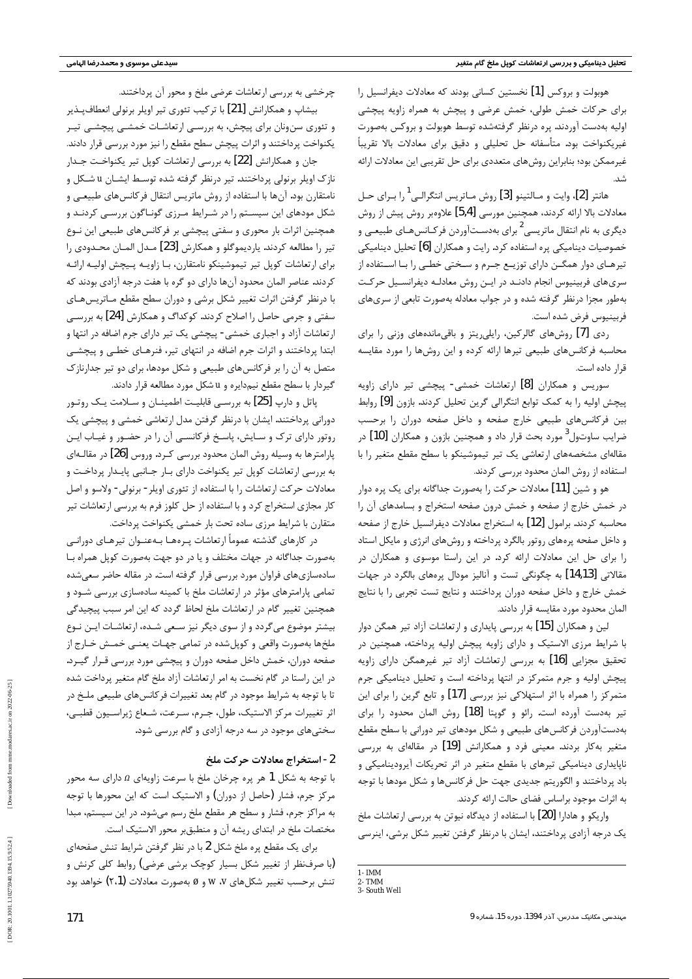هوبولت و بروکس [1] نخستین کسانی بودند که معادلات دیفرانسیل را برای حرکات خمش طولی، خمش عرضی و پیچش به همراه زاویه پیچشی اولیه بهدست آوردند. پره درنظر گرفتهشده توسط هوبولت و بروکس بهصورت غیریکنواخت بود. متأسفانه حل تحلیلی و دقیق برای معادلات بالا تقریباً غیرممکن بود؛ بنابراین روشهای متعددی برای حل تقریبی این معادلات ارائه شد.

هانتر [2]، وايت و مــالتينو [3] روش مــاتريس انتگرالــي<sup>1</sup> را بــراي حــل معادلات بالا ارائه كردند، همچنين مورسي [5,4] علاوهبر روش پيش از روش دیگری به نام انتقال ماتریسی<sup>2</sup> برای بهدسـتآوردن فرکـانسهــای طبیعــی و خصوصیات دینامیکی پره استفاده کرد. رایت و همکاران [6] تحلیل دینامیکی تیرهـای دوار همگــن دارای توزیــع جــرم و ســختی خطــی را بــا اســتفاده از سری های فربینیوس انجام دادنـد در ایـن روش معادلـه دیفرانسـیل حرکـت بهطور مجزا درنظر گرفته شده و در جواب معادله بهصورت تابعی از سریهای فربينيوس فرض شده است.

ردی [7] روشهای گالرکین، رایلی یتز و باقیماندههای وزنی را برای محاسبه فركانسهاى طبيعى تيرها ارائه كرده و اين روشها را مورد مقايسه قرار داده است.

سوریس و همکاران [8] ارتعاشات خمشی- پیچشی تیر دارای زاویه پیچش اولیه را به کمک توابع انتگرالی گرین تحلیل کردند. بازون [9] روابط بین فرکانسهای طبیعی خارج صفحه و داخل صفحه دوران را برحسب ضرایب ساوتول<sup>3</sup> مورد بحث قرار داد و همچنین بازون و همکاران **[10]** در مقالهای مشخصههای ارتعاشی یک تیر تیموشینکو با سطح مقطع متغیر را با استفاده از روش المان محدود بررسی کردند.

هو و شین [11] معادلات حرکت را بهصورت جداگانه برای یک پره دوار در خمش خارج از صفحه و خمش درون صفحه استخراج و بسامدهای آن را محاسبه کردند. برامول [12] به استخراج معادلات دیفرانسیل خارج از صفحه و داخل صفحه پرههای روتور بالگرد پرداخته و روشهای انرژی و مایکل استاد را برای حل این معادلات ارائه کرد. در این راستا موسوی و همکاران در مقالاتی [14,13] به چگونگی تست و آنالیز مودال پرههای بالگرد در جهات خمش خارج و داخل صفحه دوران پرداختند و نتايج تست تجربي را با نتايج المان محدود مورد مقايسه قرار دادند.

لین و همکاران [15] به بررسی پایداری و ارتعاشات آزاد تیر همگن دوار با شرایط مرزی الاستیک و دارای زاویه پیچش اولیه پرداخته، همچنین در تحقیق مجزایی [16] به بررسی ارتعاشات آزاد تیر غیرهمگن دارای زاویه پیچش اولیه و جرم متمرکز در انتها پرداخته است و تحلیل دینامیکی جرم متمرکز را همراه با اثر استهلاکی نیز بررسی [17] و تابع گرین را برای این تير بهدست آورده است. رائو و گويتا [18] روش المان محدود را براي بهدستآوردن فركانسهاى طبيعي و شكل مودهاى تير دوراني با سطح مقطع

چرخشی به بررسی ارتعاشات عرضی ملخ و محور آن پرداختند. بیشاپ و همکارانش [21] با ترکیب تئوری تیر اویلر برنولی انعطافپذیر و تئوری سنونان برای پیچش، به بررسـی ارتعاشـات خمشـی پیچشـی تیـر یکنواخت پرداختند و اثرات پیچش سطح مقطع را نیز مورد بررسی قرار دادند.

جان و همکارانش [22] به بررسی ارتعاشات کوپل تیر یکنواخت جـدار نازک اوپلر برنولی پرداختند. تیر درنظر گرفته شده توسـط ایشــان u شــکل و نامتقارن بود. آن ها با استفاده از روش ماتریس انتقال فرکانس های طبیعـی و شکل مودهای این سیسـتم را در شـرایط مـرزی گونـاگون بررسـی کردنـد و همچنین اثرات بار محوری و سفتی پیچشی بر فرکانسهای طبیعی این نــوع تير را مطالعه كردند. يارديموگلو و همكارش [23] مـدل المــان محـدودي را برای ارتعاشات کوپل تیر تیموشینکو نامتقارن، بـا زاویـه پـیچش اولیـه ارائـه کردند. عناصر المان محدود آنها دارای دو گره با هفت درجه آزادی بودند که با درنظر گرفتن اثرات تغییر شکل برشی و دوران سطح مقطع مـاتریسهـای سفتي و جرمي حاصل را اصلاح كردند. كوكداگ و همكارش [24] به بررسـي ارتعاشات آزاد و اجباری خمشی- پیچشی یک تیر دارای جرم اضافه در انتها و ابتدا پرداختند و اثرات جرم اضافه در انتهای تیر، فنرهـای خطـی و پیچشـی متصل به آن را بر فرکانسهای طبیعی و شکل مودها، برای دو تیر جدارنازک گیردار با سطح مقطع نیمدایره و u شکل مورد مطالعه قرار دادند.

ياتل و دارپ [25] به بررسـي قابليـت اطمينــان و ســلامت يــک روتــور دورانی پرداختند. ایشان با درنظر گرفتن مدل ارتعاشی خمشی و پیچشی یک روتور دارای ترک و سـایش، پاسـخ فرکانسـی آن را در حضـور و غیـاب ایـن پارامترها به وسیله روش المان محدود بررسی کـرد. وروس [26] در مقالـهای به بررسی ارتعاشات کوپل تیر یکنواخت دارای بـار جـانبی پایـدار پرداخـت و معادلات حرکت ارتعاشات را با استفاده از تئوري اويلر - برنولي - ولاسو و اصل کار مجازی استخراج کرد و با استفاده از حل کلوز فرم به بررسی ارتعاشات تیر متقارن با شرایط مرزی ساده تحت بار خمشی یکنواخت پرداخت.

در کارهای گذشته عموماً ارتعاشات پـرههـا بـهعنـوان تیرهـای دورانـی بهصورت جداگانه در جهات مختلف و یا در دو جهت بهصورت کوپل همراه بـا سادهسازیهای فراوان مورد بررسی قرار گرفته است. در مقاله حاضر سعیشده تمامی پارامترهای مؤثر در ارتعاشات ملخ با کمینه سادهسازی بررسی شـود و همچنین تغییر گام در ارتعاشات ملخ لحاظ گردد که این امر سبب پیچیدگی بیشتر موضوع میگردد و از سوی دیگر نیز سعی شده، ارتعاشات ایـن نـوع ملخها بهصورت واقعي و كوپل شده در تمامي جهـات يعنـي خمـش خـارج از صفحه دوران، خمش داخل صفحه دوران و پیچشی مورد بررسی قـرار گیـرد. در این راستا در گام نخست به امر ارتعاشات آزاد ملخ گام متغیر پرداخت شده تا با توجه به شرایط موجود در گام بعد تغییرات فرکانسهای طبیعی ملـخ در اثر تغييرات مركز الاستيك، طول، جـرم، سـرعت، شـعاع ژيراسـيون قطبـي، سختی های موجود در سه درجه آزادی و گام بررسی شود.

171

| 2- استخراج معادلات حركت ملخ                                                 |
|-----------------------------------------------------------------------------|
| با توجه به شکل 1 هر پره چرخان ملخ با سرعت زاویهای $\Omega$ دارای سه محور    |
| مرکز جرم، فشار (حاصل از دوران) و الاستیک است که این محورها با توجه          |
| به مراکز جرم، فشار و سطح هر مقطع ملخ رسم میشود. در این سیستم، مبدا          |
| مختصات ملخ در ابتدای ریشه آن و منطبقبر محور الاستیک است.                    |
| برای یک مقطع پره ملخ شکل 2 با در نظر گرفتن شرایط تنش صفحهای                 |
| (با صرفنظر از تغییر شکل بسیار کوچک برشی عرضی) روابط کلی کرنش و              |
| تنش برحسب تغییر شکلهای ۷، /۷ و $\varnothing$ بهصورت معادلات (۲،1) خواهد بود |

| متغیر بهکار بردند. معینی فرد و همکارانش [19] در مقالهای به بررسی      |
|-----------------------------------------------------------------------|
| ناپایداری دینامیکی تیرهای با مقطع متغیر در اثر تحریکات آیرودینامیکی و |
| باد پرداختند و الگوریتم جدیدی جهت حل فرکانسها و شکل مودها با توجه     |
| به اثرات موجود براساس فضاى حالت ارائه كردند.                          |
| واریکو و هادارا [20] با استفاده از دیدگاه نیوتن به بررسی ارتعاشات ملخ |
| یک درجه آزادی پرداختند، ایشان با درنظر گرفتن تغییر شکل برشی، اینرسی   |
|                                                                       |

 $1 - IMM$ 2-TMM

3- South Well

مهندسی مکانیک مدرس، آذر 1394، دوره 15، شماره 9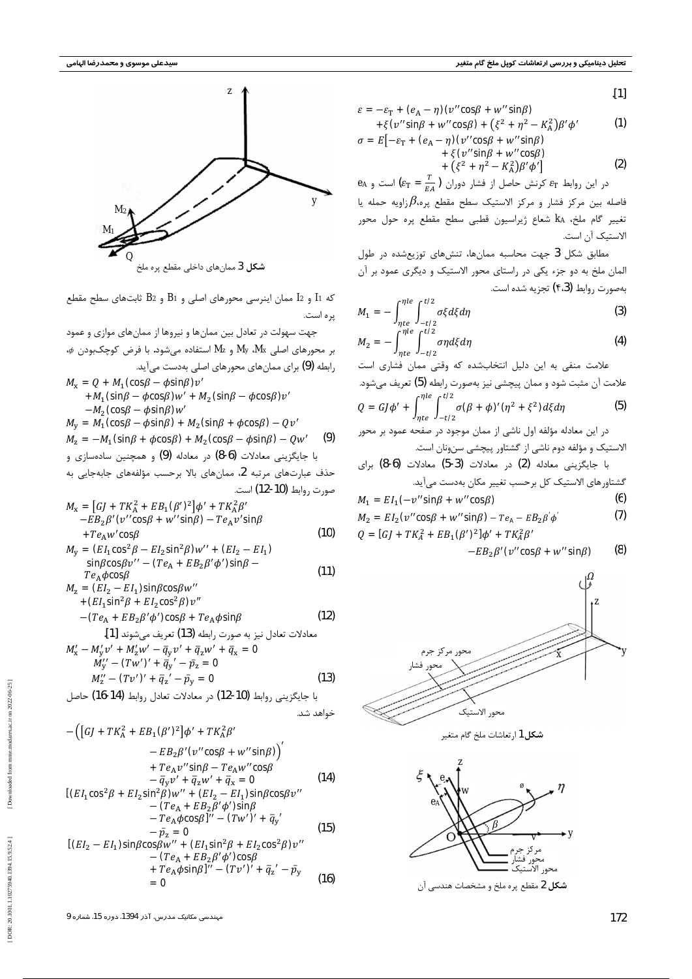

که 11 و 12 ممان اینرسی محورهای اصلی و B1 و B2 ثابتهای سطح مقطع یره است.

جهت سهولت در تعادل بین ممانها و نیروها از ممانهای موازی و عمود  $\phi$ بر محورهای اصلی My ، $M_{\lambda}$  و  $M_{\lambda}$  استفاده میشود. با فرض کوچکبودن  $\phi$ رابطه (9) برای ممانهای محورهای اصلی بهدست می آید.  $M_{\rm x} = Q + M_1$  (cos $\beta - \phi$ sin $\beta$ ) $v'$ + $M_1$ (sin $\beta - \phi$ cos $\beta$ ) $w'$  +  $M_2$ (sin $\beta - \phi$ cos $\beta$ ) $v'$  $-M_2$  (cos $\beta - \phi$ sin $\beta$ ) $w'$  $M_{y} = M_{1}$  (cos $\beta - \phi$ sin $\beta$ ) +  $M_{2}$  (sin $\beta$  +  $\phi$ cos $\beta$ ) -  $Qv'$  $M_z = -M_1(\sin\beta + \phi\cos\beta) + M_2(\cos\beta - \phi\sin\beta) - Qw'$  $(9)$ با جایگزینی معادلات (6-8) در معادله (9) و همچنین سادهسازی و حذف عبارتهای مرتبه 2، ممانهای بالا برحسب مؤلفههای جابهجایی به صورت , وابط (10-12) است.

$$
M_{\rm x} = [GJ + TK_{\rm A}^2 + EB_1(\beta')^2]\phi' + TK_{\rm A}^2\beta'
$$
  
- $EB_2\beta'(\mathbf{v}''\cos\beta + w''\sin\beta) - Te_{\rm A}v'\sin\beta$   
+ $Te_{\rm A}w'\cos\beta$  (10)

$$
M_{y} = (EI_{1} \cos^{2}\beta - EI_{2} \sin^{2}\beta)w'' + (EI_{2} - EI_{1})
$$
  
\n
$$
\sin\beta\cos\beta v'' - (Te_{A} + EB_{2}\beta'\phi')\sin\beta - T e_{A}\phi\cos\beta
$$
\n(11)

$$
M_{z} = (EI_{2} - EI_{1})sin\beta cos\beta w''
$$
  
+
$$
(EI_{1}sin^{2}\beta + El_{2}cos^{2}\beta)v''
$$
  
-
$$
(Te_{A} + EB_{2}\beta'\phi')cos\beta + Te_{A}\phi sin\beta
$$
  
...  
[1]

$$
M'_x - M'_y v' + M'_z w' - \overline{q}_y v' + \overline{q}_z w' + \overline{q}_x = 0
$$
  
\n
$$
M''_y - (Tw')' + \overline{q}_y' - \overline{p}_z = 0
$$
  
\n
$$
M''_z - (Tv')' + \overline{q}_z' - \overline{p}_y = 0
$$
  
\n(13)  
\n(14) 
$$
M''_z = (16-14) (14) (14) (14) (15) (16-17)
$$

$$
\left( \left[ G \right] + T K_A^2 + E B_1 G \mathcal{O}^2 \right] \phi' + T K_A^2 \beta'
$$

 $\cdot$ [1]

$$
\varepsilon = -\varepsilon_{\rm T} + (e_{\rm A} - \eta)(v'' \cos \beta + w'' \sin \beta)
$$
  
+ $\xi (v'' \sin \beta + w'' \cos \beta) + (\xi^2 + \eta^2 - K_{\rm A}^2) \beta' \phi'$  (1)  
 $\sigma = E[-\varepsilon_{\rm T} + (e_{\rm A} - \eta)(v'' \cos \beta + w'' \sin \beta)]$ 

$$
\varepsilon_{\rm T} + (e_{\rm A} - \eta)(v'' \cos \beta + w'' \sin \beta) \n+ \xi(v'' \sin \beta + w'' \cos \beta)
$$

$$
+ (\xi^2 + \eta^2 - K_A^2) \beta' \phi'
$$
 (2)

 $e_A$  در این روابط  $\varepsilon_T$  کرنش حاصل از فشار دوران  $\left(\varepsilon_T = \frac{T}{F_A}\right)$  است و فاصله بين مركز فشار و مركز الاستيك سطح مقطع پره، $\beta$ زاويه حمله يا تغيير گام ملخ، KA شعاع ژيراسيون قطبي سطح مقطع پره حول محور الاستبك آن است.

مطابق شکل 3 جهت محاسبه ممانها، تنشهای توزیعشده در طول المان ملخ به دو جزء یکی در راستای محور الاستیک و دیگری عمود بر آن بهصورت روابط (۴،3) تجزيه شده است.

$$
M_1 = -\int_{\eta t e}^{\eta t e} \int_{-t I 2}^{t I 2} \sigma \xi d\xi d\eta
$$
 (3)

$$
M_2 = -\int_{\eta t e}^{\eta t e} \int_{-t/2}^{\infty} \sigma \eta d\xi d\eta
$$
 (4)

علامت منفی به این دلیل انتخابشده که وقتی ممان فشاری است علامت آن مثبت شود و ممان پیچشی نیز بهصورت رابطه (5) تعریف میشود.  $Q = GJ\phi' + \int_{nte}^{\eta le} \int_{-t/2}^{t/2} \sigma(\beta + \phi)'(\eta^2 + \xi^2)d\xi d\eta$  $(5)$ 

$$
M_1 = EI_1(-v''\sin\beta + w''\cos\beta)
$$
 (6)

$$
M_2 = EI_2(\nu'' \cos\beta + w'' \sin\beta) - Te_{\mathbf{A}} - EB_2\beta' \phi'
$$
 (7)

$$
Q = [G] + TK_A^2 + EB_1(G')^2]\phi' + TK_A^2\beta'
$$

$$
-EB_2\beta'(\mathbf{v}''\cos\beta + w''\sin\beta) \qquad (8)
$$



**شکل 1**ارتعاشات ملخ گام متغیر



مهندسی مکانیک مدرس، آذر 1394، دوره 15، شماره 9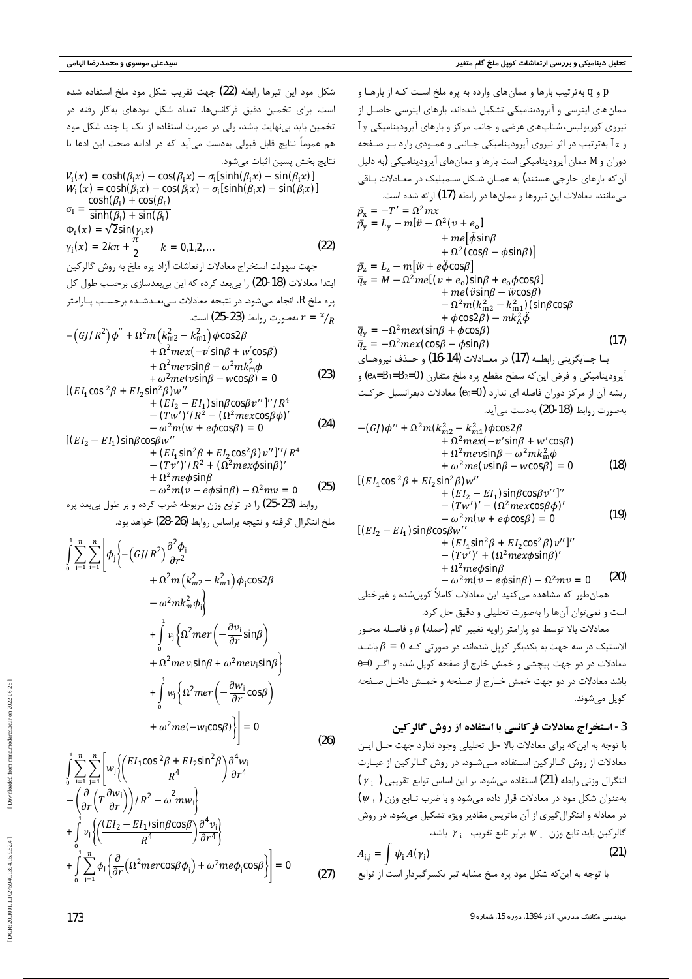شكل مود إين تيرها ,ابطه  $(22)$  جهت تقريب شكل مود ملخ استفاده شده است. برای تخمین دقیق فرکانس ها، تعداد شکل مودهای بهکار رفته در تخمین باید بی نهایت باشد، ولی در صورت استفاده از یک یا چند شکل مود هم عموماً نتايج قابل قبولي بهدست مي]يد كه در ادامه صحت اين ادعا با نتايج بخش پسين اثبات مي شود.

$$
-(GJ)\phi'' + \Omega^2 m (k_{m2}^2 - k_{m1}^2) \phi \cos 2\beta + \Omega^2 m e x (-v' \sin \beta + w' \cos \beta) + \Omega^2 m e v \sin \beta - \omega^2 m k_m^2 \phi + \omega^2 m e (v \sin \beta - w \cos \beta) = 0
$$
(18)  
  

$$
[(EI_1 \cos^2 \beta + EI_2 \sin^2 \beta) w''
$$
+
$$
(EI_2 - EI_1) \sin \beta \cos \beta v'']''
$$
-
$$
-(Tw')' - (\Omega^2 m e x \cos \beta \phi)'
$$
=
$$
\omega^2 m (w + e \phi \cos \beta) = 0
$$
(19)  
  

$$
[(EI_2 - EI_1) \sin \beta \cos \beta w''
$$
+
$$
(EI_1 \sin^2 \beta + EI_2 \cos^2 \beta) v'']''
$$
-
$$
-(Tv')' + (\Omega^2 m e x \phi \sin \beta)'
$$
+
$$
\Omega^2 m e \phi \sin \beta
$$
-
$$
\omega^2 m (v - e \phi \sin \beta) - \Omega^2 m v = 0
$$
(20)  
and 
$$
\omega^2 m (v - e \phi \sin \beta) - \Omega^2 m v = 0
$$
(21)

معادلات بالا توسط دو پارامتر زاويه تغيير گام (حمله) <sub>B</sub> و فاصـله محـور  $\beta$  الاستیک در سه جهت به یکدیگر کوپل شدهاند. در صورتی کـه  $\beta$  = 6 باشــد معادلات در دو جهت پیچشی و خمش خارج از صفحه کوپل شده و اگـر 0=*θ* باشد معادلات در دو جهت خمش خـارج از صـفحه و خمـش داخـل صـفحه کوپل مے شوند.

3 - استخراج معادلات فركانسي با استفاده از روش گالركين

[DOR: 20.1001.1.10275940.1394.15.9.52.4]

$$
V_i(x) = \cosh(\beta_i x) - \cos(\beta_i x) - \sigma_i[\sinh(\beta_i x) - \sin(\beta_i x)]
$$
  
\n
$$
W_i(x) = \cosh(\beta_i x) - \cos(\beta_i x) - \sigma_i[\sinh(\beta_i x) - \sin(\beta_i x)]
$$
  
\n
$$
\sigma_i = \frac{\cosh(\beta_i) + \cos(\beta_i)}{\sinh(\beta_i) + \sin(\beta_i)}
$$
  
\n
$$
\Phi_i(x) = \sqrt{2}\sin(\gamma_i x)
$$
  
\n
$$
\gamma_i(x) = 2k\pi + \frac{\pi}{2}
$$
  $k = 0,1,2,...$  (22)

جهت سهولت استخراج معادلات ارتعاشات آزاد پره ملخ به روش گالركين ابتدا معادلات (18-20) را بیبعد کرده که این بیبعدسازی برحسب طول کل پره ملخ  $R$ ، انجام میشود. در نتیجه معادلات بـیبعـدشـده برحسـب پـارامتر بەصورت روابط (23-25) است.  $r = \frac{x}{R}$  $12 \sqrt{12200}$ 

$$
-(GJ/R2)\phi'' + \Omega2m(km22 - km12)\phi cos2\beta + \Omega2mex(-v'sin\beta + w'cos\beta) + \Omega2mev sin\beta - \omega2mkm2\phi + \omega2me(vsin\beta - wcos\beta) = 0
$$
 (23)

$$
+ (EI2 - EI1) sinβ cosβv'']' / R4- (Tw'')' / R2 - (Ω2 mex cosβ φ)'- ω2m(w + eφ cosβ) = 0
$$
 (24)

[(EI<sub>2</sub> - EI<sub>1</sub>)sin $\beta$ cos $\beta$ w''

+ 
$$
(EI_1 \sin^2 \beta + EI_2 \cos^2 \beta)v''
$$
]<sup>'</sup>' $IR^4$   
-  $(Tv')'IR^2 + (\Omega^2 mex\phi \sin\beta)'$   
+  $\Omega^2me\phi \sin\beta$   
-  $\omega^2m(v - e\phi \sin\beta) - \Omega^2mv = 0$  (25)

روابط (23-25) را در توابع وزن مربوطه ضرب کرده و بر طول ب<u>ی ب</u>عد پره (

ملخ انتگرال گرفته و نتیجه براساس روابط (26-28) خواهد بود.

$$
\int_{0}^{1} \sum_{j=1}^{n} \sum_{i=1}^{n} \left[ \phi_{j} \left\{ -\left( G J R^{2} \right) \frac{\partial^{2} \phi_{i}}{\partial r^{2}} + \Omega^{2} m \left( k_{m2}^{2} - k_{m1}^{2} \right) \phi_{i} \cos 2\beta - \omega^{2} m k_{m}^{2} \phi_{i} \right\} + \int_{0}^{1} v_{i} \left\{ \Omega^{2} m e r \left( -\frac{\partial v_{i}}{\partial r} \sin \beta \right) + \Omega^{2} m e v_{i} \sin \beta + \omega^{2} m e v_{i} \sin \beta \right\} + \int_{0}^{1} w_{i} \left\{ \Omega^{2} m e r \left( -\frac{\partial w_{i}}{\partial r} \cos \beta \right) + \omega^{2} m e (-w_{i} \cos \beta) \right\} = 0
$$

و q به ترتیب بارها و ممانهای وارده به پره ملخ اسـت کـه از بارهـا و  $\rho$ ممانهای اینرسی و آیرودینامیکی تشکیل شدهاند. بارهای اینرسی حاصل از نیروی کوریولیس، شتابهای عرضی و جانب مرکز و بارهای آیرودینامیکی L<sub>y</sub> و kz بهترتیب در اثر نیروی آیرودینامیکی جـانبی و عمـودی وارد بـر صـفحه دوران و *M* ممان آیرودینامیکی است بارها و ممانهای آیرودینامیکی (به دلیل آن که بارهای خارجی هستند) به همـان شـکل سـمبلیک در معـادلات بـاقی می مانند. معادلات این نیروها و ممانها در رابطه  $(17)$ ارائه شده است. (17)  $\bar{p}_{\rm x} = -T' = \Omega^2 m x$  $\bar{p}_y = L_y - m[\ddot{v} - \Omega^2(v + e_0)]$ +  $me[\phi$ sin $\beta$  $+\Omega^2$  (cos $\beta - \phi$ sin $\beta$ )  $\bar{p}_{z} = L_{z} - m[\ddot{w} + e\phi \cos\beta]$  $\bar{q}_x = M - \Omega^2 me[(v + e_0)sin\beta + e_0\phi cos\beta]$  $+$   $me$ ( $v$ sin $\beta$   $w$ cos $\beta$ )  $-\,\Omega^2 m$ ( $k_{\rm m2}^2 - k_{\rm m1}^2$ ) (sin $\beta$ cos $\beta$ +  $\phi$ cos2 $\beta$ ) –  $mk_A^2\ddot{\phi}$  $\bar{q}_y = -\Omega^2 m e x (\sin \beta + \phi \cos \beta)$  $\bar{q}_z = -\Omega^2 m e x$ (cos $\beta - \phi \sin \beta$ ) بــا جــايگزيني رابطــه (17) در معــادلات (14-16) و حــذف نيروهــاي أيروديناميكي و فرض اين *ك*ه سطح مقطع پره ملخ متقارن (ea=B1=B2=0) و ریشه آن از مرکز دوران فاصله ای ندارد (e0=0) معادلات دیفرانسیل حرکت  $\lambda$ مصورت روابط (18-20) بەدست مىرآىد.

(27)



با توجه به این که برای معادلات بالا حل تحلیلی وجود ندارد جهت حـل ایـن معادلات از روش گـالركين اسـتفاده مـيشـود. در روش گـالركين از عبـارت انتگرال وزنی رابطه (21) استفاده میشود. بر این اساس توابع تقریبی ( ، y ) بهعنوان شکل مود در معادلات قرار داده میشود و با ضرب تـابع وزن ( ، W) در معادله و انتگرال $\Sigma$ یری از آن ماتریس مقادیر ویژه تشکیل میشود. در روش گالرکین باید تابع وزن ، ψ برابر تابع تقریب ، γ باشد.  $A_{i,j} = \int \psi_i A(\gamma_i)$ (21 ) با توجه به این که شکل مود پره ملخ مشابه تیر یکسر گیردار است از توابع

مہندسی مکانیک مدرس، آذر 1394، دورہ 15، شمارہ 9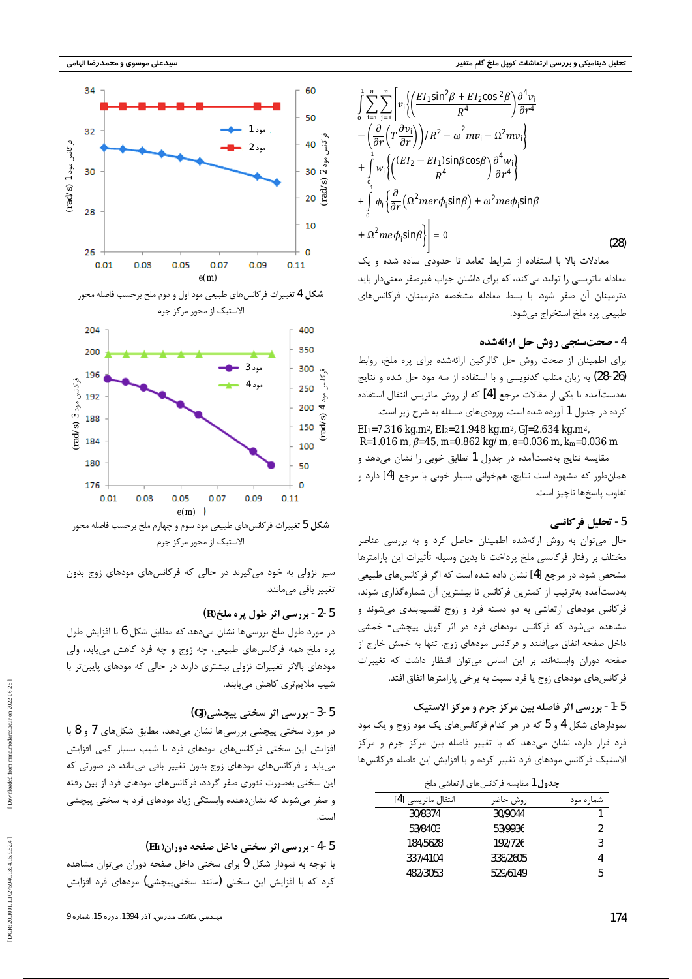

معادلات بالا با استفاده از شرایط تعامد تا حدودی ساده شده و یک معادله ماتریسی را تولید می کند، که برای داشتن جواب غیرصفر معنیدار باید دترمینان آن صفر شود. با بسط معادله مشخصه دترمینان، فرکانسهای طبيعي پره ملخ استخراج ميشود.

## 4 - صحتسنجي روش حل ارائهشده

برای اطمینان از صحت روش حل گالرکین ارائهشده برای پره ملخ، روابط (26-26) به زبان متلب کدنویسی و با استفاده از سه مود حل شده و نتایج بهدستآمده با یکی از مقالات مرجع [4] که از روش ماتریس انتقال استفاده کرده در جدول 1 آورده شده است. ورودیهای مسئله به شرح زیر است.

 $E1_1$ =7.316 kg.m<sup>2</sup>,  $E1_2$ =21.948 kg.m<sup>2</sup>, *G*J=2.634 kg.m<sup>2</sup>,  $R=1.016$  m,  $\beta=45$ , m=0.862 kg/m, e=0.036 m, km=0.036 m مقایسه نتایج بهدستآمده در جدول 1 تطابق خوبی را نشان میدهد و همان طور که مشهود است نتایج، همخوانی بسیار خوبی با مرجع [4] دارد و تفاوت پاسخها ناچيز است.

### 5- تحليل فركانسي

حال میتوان به روش ارائهشده اطمینان حاصل کرد و به بررسی عناصر مختلف بر رفتار فركانسي ملخ پرداخت تا بدين وسيله تأثيرات اين پارامترها مشخص شود. در مرجع [4] نشان داده شده است که اگر فر کانس های طبیعی بهدستآمده بهترتیب از کمترین فرکانس تا بیشترین آن شمارهگذاری شوند، فرکانس مودهای ارتعاشی به دو دسته فرد و زوج تقسیمبندی میشوند و مشاهده میشود که فرکانس مودهای فرد در اثر کوپل پیچشی- خمشی داخل صفحه اتفاق می|فتند و فرکانس مودهای زوج، تنها به خمش خارج از صفحه دوران وابستهاند. بر این اساس می توان انتظار داشت که تغییرات فر کانسهای مودهای زوج یا فرد نسبت به برخی پارامترها اتفاق افتد.

#### 5-1- بررسي اثر فاصله بين مركز جرم و مركز الاستيك

نمودارهای شکل 4 و 5 که در هر کدام فرکانسهای یک مود زوج و یک مود



الاستیک از محور مرکز جرم

سیر نزولی به خود میگیرند در حالی که فرکانسهای مودهای زوج بدون تغییر باقی میمانند.

#### $(R)$ - بررسی اثر طول پره ملخ (R) -2- 1

در مورد طول ملخ بررسیها نشان میدهد که مطابق شکل 6 با افزایش طول پره ملخ همه فركانسهاى طبيعى، چه زوج و چه فرد كاهش مىيابد، ولى مودهای بالاتر تغییرات نزولی بیشتری دارند در حالی که مودهای پایینتر با شیب ملایمتری کاهش مییابند.

#### 5-3- بررسی اثر سختی پیچشی(G)

در مورد سختی پیچشی بررسیها نشان میدهد، مطابق شکلهای 7 و 8 با

| جدول 1 مقايسه فركانسهاي ارتعاشي ملخ |          |                                                                                                                                        |
|-------------------------------------|----------|----------------------------------------------------------------------------------------------------------------------------------------|
| انتقال ماتريسي [4]                  | روش حاضر | شماره مود                                                                                                                              |
| 30/8374                             | 30/9044  |                                                                                                                                        |
| 53/8403                             | 53/9936  | $\overline{2}$                                                                                                                         |
| 184/5628                            | 192/726  | 3                                                                                                                                      |
| 337/4104                            | 338/2605 |                                                                                                                                        |
| 482/3053                            | 529/6149 | 5                                                                                                                                      |
|                                     |          | فرد قرار دارد، نشان میدهد که با تغییر فاصله بین مرکز جرم و مرکز<br>الاستیک فرکانس مودهای فرد تغییر کرده و با افزایش این فاصله فرکانسها |

مہندسی مکانیک مدرس، آذر 1394، دورہ 15، شمارہ 9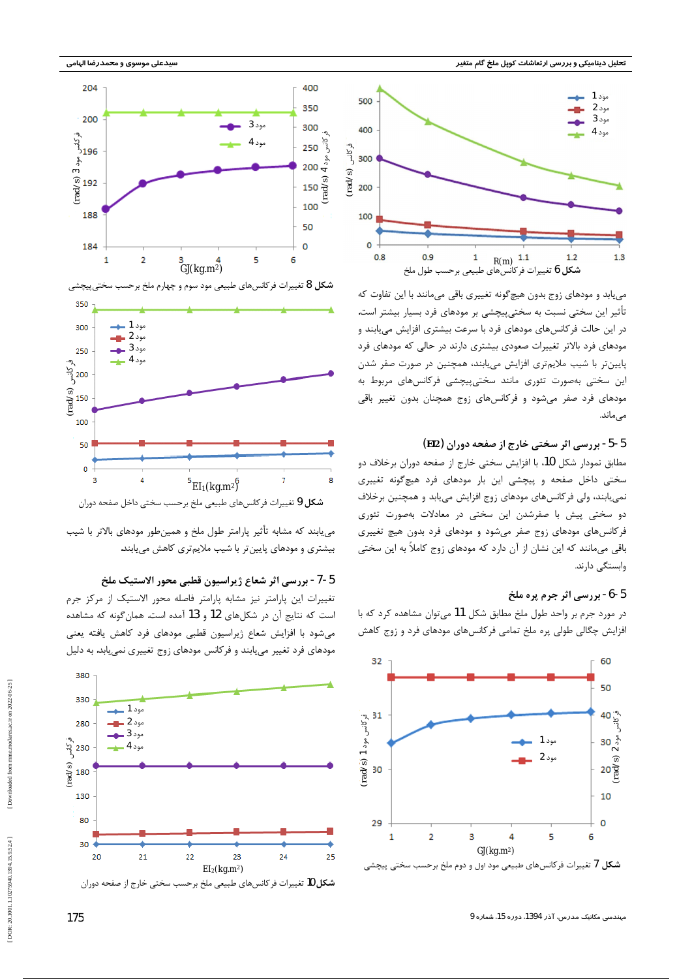



می یابد و مودهای زوج بدون هیچگونه تغییری باقی میمانند با این تفاوت که تأثیر این سختی نسبت به سختیپیچشی بر مودهای فرد بسیار بیشتر است. در این حالت فرکانسهای مودهای فرد با سرعت بیشتری افزایش مییابند و مودهای فرد بالاتر تغییرات صعودی بیشتری دارند در حالی که مودهای فرد پایین تر با شیب ملایم تری افزایش می پابند، همچنین در صورت صفر شدن این سختی بهصورت تئوری مانند سختی،پیچشی فرکانس های مربوط به مودهای فرد صفر می شود و فرکانس های زوج همچنان بدون تغییر باقی مى ماند.

### 5-5- بررسی اثر سختی خارج از صفحه دوران (EI2)

مطابق نمودار شکل 10، با افزایش سختی خارج از صفحه دوران برخلاف دو سختی داخل صفحه و پیچشی این بار مودهای فرد هیچگونه تغییری نمیپابند، ولی فرکانسهای مودهای زوج افزایش میپابد و همچنین برخلاف دو سختی پیش با صفرشدن این سختی در معادلات بهصورت تئوری فرکانسهای مودهای زوج صفر میشود و مودهای فرد بدون هیچ تغییری باقی میمانند که این نشان از آن دارد که مودهای زوج کاملاً به این سختی وابستگی دارند.

### 5-6- بررسي اثر جرم پره ملخ

در مورد جرم بر واحد طول ملخ مطابق شکل 11 میتوان مشاهده کرد که با افزایش چگالی طولی پره ملخ تمامی فرکانسهای مودهای فرد و زوج کاهش





می یابند که مشابه تأثیر پارامتر طول ملخ و همینطور مودهای بالاتر با شیب بیشتری و مودهای پایینتر با شیب ملایمتری کاهش مییابند.

5-7- بررسي اثر شعاع ژيراسيون قطبي محور الاستيک ملخ

تغییرات این پارامتر نیز مشابه پارامتر فاصله محور الاستیک از مرکز جرم است که نتایج آن در شکلهای 12 و 13 آمده است. همان گونه که مشاهده می شود با افزایش شعاع ژیراسیون قطبی مودهای فرد کاهش یافته یعنی مودهای فرد تغییر می یابند و فرکانس مودهای زوج تغییری نمی یابد. به دلیل



[DOR: 20.1001.1.10275940.1394.15.9.52.4]

175

مپندسی مکانیک مدرس، آذر 1394، دوره 15، شماره 9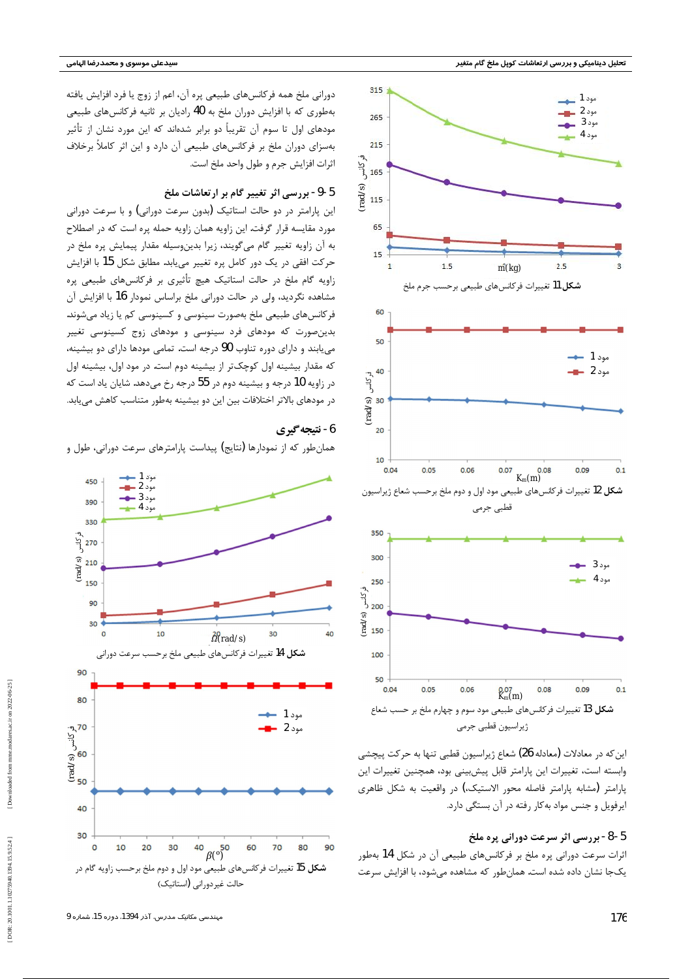



دورانی ملخ همه فرکانسهای طبیعی پره آن، اعم از زوج یا فرد افزایش یافته بهطوری که با افزایش دوران ملخ به 40 رادیان بر ثانیه فرکانسهای طبیعی مودهای اول تا سوم آن تقریباً دو برابر شدهاند که این مورد نشان از تأثیر بهسزای دوران ملخ بر فرکانسهای طبیعی آن دارد و این اثر کاملاً برخلاف اثرات افزایش جرم و طول واحد ملخ است.

## 5-9- بررسی اثر تغییر گام بر ارتعاشات ملخ

این پارامتر در دو حالت استاتیک (بدون سرعت دورانی) و با سرعت دورانی مورد مقایسه قرار گرفت. این زاویه همان زاویه حمله پره است که در اصطلاح به آن زاویه تغییر گام میگویند، زیرا بدینوسیله مقدار پیمایش پره ملخ در حركت افقى در يک دور كامل پره تغيير مىيابد. مطابق شكل 15 با افزايش زاویه گام ملخ در حالت استاتیک هیچ تأثیری بر فرکانسهای طبیعی پره مشاهده نگردید، ولی در حالت دورانی ملخ براساس نمودار 16 با افزایش آن فرکانسهای طبیعی ملخ بهصورت سینوسی و کسینوسی کم یا زیاد میشوند. بدینصورت که مودهای فرد سینوسی و مودهای زوج کسینوسی تغییر می یابند و دارای دوره تناوب 90 درجه است. تمامی مودها دارای دو بیشینه، که مقدار بیشینه اول کوچکتر از بیشینه دوم است. در مود اول، بیشینه اول در زاویه 10 درجه و بیشینه دوم در 55 درجه رخ میدهد. شایان یاد است که در مودهای بالاتر اختلافات بین این دو بیشینه بهطور متناسب کاهش می یابد.

### 6- نتيجه گيري

همان طور که از نمودارها (نتایج) پیداست پارامترهای سرعت دورانی، طول و



5-8- بررسی اثر سرعت دورانی پره ملخ اثرات سرعت دورانی پره ملخ بر فرکانسهای طبیعی آن در شکل 14 بهطور یکجا نشان داده شده است. همانطور که مشاهده میشود، با افزایش سرعت

مہندسی مکانیک مدرس، آذر 1394، دورہ 15، شمارہ 9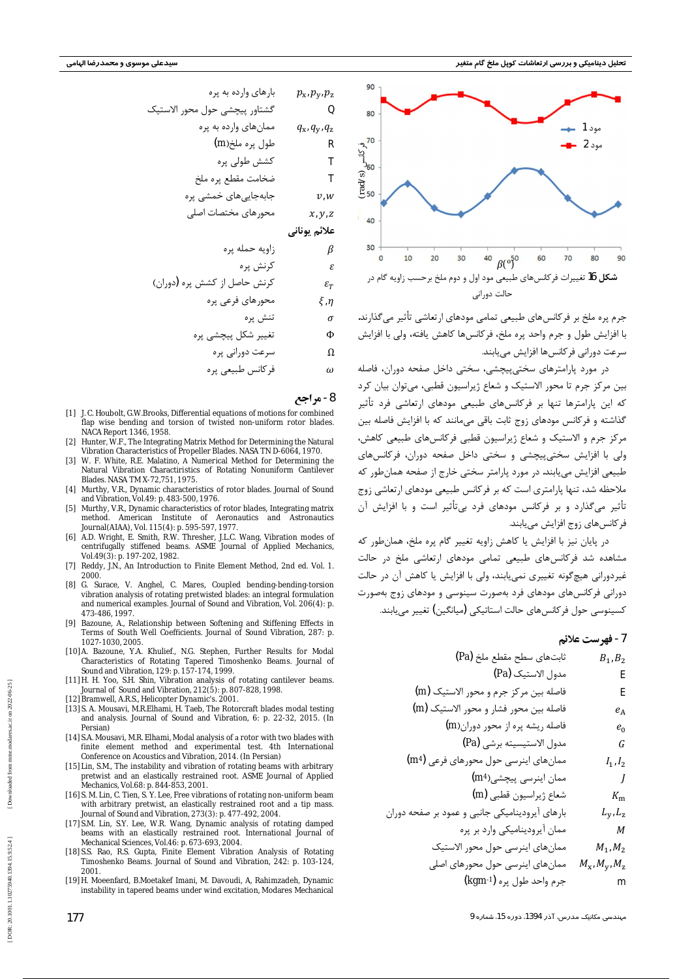

جرم پرہ ملخ بر فرکانسھای طبیعی تمامی مودھای ارتعاشی تأثیر می گذارند. با افزايش طول و جرم واحد يره ملخ، فركانسها كاهش يافته، ولي با افزايش سرعت دورانی فرکانس ها افزایش مے بابند.

در مورد پارامترهای سختی پیچشی، سختی داخل صفحه دوران، فاصله بین مرکز جرم تا محور الاستیک و شعاع ژیراسیون قطبی، میتوان بیان کرد که این پارامترها تنها بر فرکانسهای طبیعی مودهای ارتعاشی فرد تأثیر گذاشته و فرکانس مودهای زوج ثابت باقی می،مانند که با افزایش فاصله بین مرکز جرم و الاستیک و شعاع ژیراسیون قطبی فرکانس های طبیعی کاهش، ولي با افزايش سختي پيچشي و سختي داخل صفحه دوران، فركانس هاي طبیعی افزایش می پابند. در مورد پارامتر سختی خارج از صفحه همان طور که ملاحظه شد، تنها پارامتری است که بر فرکانس طبیعی مودهای ارتعاشی زوج تأثیر میگذارد و بر فرکانس مودهای فرد بیتأثیر است و با افزایش آن فر کانس های زوج افزایش می یابند.

در پایان نیز با افزایش یا کاهش زاویه تغییر گام پره ملخ، همان طور که مشاهده شد فرکانس های طبیعی تمامی مودهای ارتعاشی ملخ در حالت غیردورانی هیچ گونه تغییری نمی پابند، ولی با افزایش یا کاهش آن در حالت دورانی فرکانسهای مودهای فرد بهصورت سینوسی و مودهای زوج بهصورت كسينوسي حول فركانسهاي حالت استاتيكي (ميانگين) تغيير مي يابند.

#### 7 - فهرست علائم

| $B_1$ <sub>1</sub> $B_2$ | ثابتھای سطح مقطع ملخ (Pa)              |
|--------------------------|----------------------------------------|
| E                        | مدول الاستيك (Pa)                      |
| E                        | فاصله بين مركز جرم و محور الاستيك (m)  |
| $e_{\rm A}$              | فاصله بين محور فشار و محور الاستيک (m) |
| $e_0$                    | فاصله ريشه پره از محور دوران(m)        |

| $p_{x1}p_{y1}p_z$ | $p_{x2}p_{y1}p_z$ |
|-------------------|-------------------|
| ①                 | ①                 |
| ①                 | ①                 |
| ①                 | ①                 |
| ①                 | ①                 |
| ①                 | ①                 |
| ①                 | ①                 |
| ①                 | ①                 |
| ①                 | ①                 |
| ①                 | ①                 |
| ①                 | ①                 |
| ①                 | ①                 |
| ①                 | ①                 |
| ①                 | ①                 |
| ①                 | ①                 |
| ①                 | ①                 |
| ①                 | ①                 |
| ①                 | ①                 |
| ②                 | ②                 |
| ②                 | ②                 |
| ②                 | ②                 |
| ②                 | ②                 |
| ②                 | ②                 |
| ②                 | ②                 |
| ②                 | ②                 |
| ②                 | ①                 |
| ②                 | ①                 |
| ②                 | ①                 |
| ①                 | ⑧                 |
| ①                 | ⑧                 |
| ①                 | ⑧                 |
| ①                 | ⑧                 |

8- مراجع

- [1] J.C. Houbolt, G.W.Brooks, Differential equations of motions for combined flap wise bending and torsion of twisted non-uniform rotor blades. NACA Report 1346, 1958.
- [2] Hunter, W.F., The Integrating Matrix Method for Determining the Natural Vibration Characteristics of Propeller Blades. NASA TN D-6064, 1970.
- [3] W. F. White, R.E. Malatino, A Numerical Method for Determining the Natural Vibration Charactiristics of Rotating Nonuniform Cantilever Blades. NASA TM X-72,751, 1975.
- [4] Murthy, V.R., Dynamic characteristics of rotor blades. Journal of Sound and Vibration, Vol.49: p. 483-500, 1976.
- [5] Murthy, V.R., Dynamic characteristics of rotor blades, Integrating matrix method. American Institute of Aeronautics and Astronautics Journal(AIAA), Vol. 115(4): p. 595-597, 1977.
- [6] A.D. Wright, E. Smith, R.W. Thresher, J.L.C. Wang, Vibration modes of centrifugally stiffened beams. ASME Journal of Applied Mechanics, Vol.49(3): p. 197-202, 1982.
- [7] Reddy, J.N., An Introduction to Finite Element Method, 2nd ed. Vol. 1. 2000
- [8] G. Surace, V. Anghel, C. Mares, Coupled bending-bending-torsion vibration analysis of rotating pretwisted blades: an integral formulation and numerical examples. Journal of Sound and Vibration, Vol. 206(4): p. 473-486, 1997.
- [9] Bazoune, A., Relationship between Softening and Stiffening Effects in Terms of South Well Coefficients. Journal of Sound Vibration, 287: p 1027-1030, 2005.
- [10] A. Bazoune, Y.A. Khulief., N.G. Stephen, Further Results for Modal Characteristics of Rotating Tapered Timoshenko Beams. Journal of Sound and Vibration, 129: p. 157-174, 1999.
- [11] H. H. Yoo, S.H. Shin, Vibration analysis of rotating cantilever beams. Journal of Sound and Vibration, 212(5): p. 807-828, 1998.
- [12] Bramwell, A.R.S., Helicopter Dynamic's. 2001.
- [13] S. A. Mousavi, M.R.Elhami, H. Taeb, The Rotorcraft blades modal testing and analysis. Journal of Sound and Vibration, 6: p. 22-32, 2015. (In Persian)
- [14] S.A. Mousa M.R. Elhami, Modal analysis of a rotor with two blades with
- finite element method and experimental test. 4th International Conference on Acoustics and Vibration, 2014. (In Persian)
- [15] Lin, S.M., The instability and vibration of rotating beams with arbitrary pretwist and an elastically restrained root. ASME Journal of Applied Mechanics, Vol.68: p. 844-853, 2001.
- [16] S. M. Lin, C. Tien, S. Y. Lee, Free vibrations of rotating non-uniform beam with arbitrary pretwist, an elastically restrained root and a tip mass. Journal of Sound and Vibration, 273(3): p. 477-492, 2004.
- [17] S.M. Lin, S.Y. Lee, W.R. Wang, Dynamic analysis of rotating damped beams with an elastically restrained root. International Journal of Mechanical Sciences, Vol.46: p. 673-693, 2004.
- [18] S.S. Rao, R.S. Gupta, Finite Element Vibration Analysis of Rotating Timoshenko Beams. Journal of Sound and Vibration, 242: p. 103-124, 2001
- [19] H. Moeenfard, B.Moetakef Imani, M. Davoudi, A, Rahimzadeh, Dynamic instability in tapered beams under wind excitation, Modares Mechanical

| $G$            | $G$ |
|----------------|-----|
| $F$            | $G$ |
| $I_{11}I_2$    |     |
| $I_{11}I_2$    |     |
| $I_{11}I_2$    |     |
| $I_{11}I_2$    |     |
| $I_{11}I_2$    |     |
| $I_{11}I_2$    |     |
| $I_{11}I_2$    |     |
| $I_{11}I_2$    |     |
| $I_{11}I_2$    |     |
| $I_{11}I_2$    |     |
| $I_{11}I_2$    |     |
| $I_{11}I_2$    |     |
| $I_{11}I_{12}$ |     |
| $I_{11}I_{12}$ |     |
| $I_{11}I_{12}$ |     |
| $I_{11}I_{12}$ |     |
| $I_{11}I_{12}$ |     |
| $I_{11}I_{12}$ |     |
| $I_{11}I_{12}$ |     |
| $I_{11}I_{12}$ |     |
| $I_{11}I_{12}$ |     |
| $I_{11}I_{12}$ |     |
| $I_{11}I_{12}$ |     |
| $I_{11}I_{12}$ |     |
| <              |     |

مہندسی مکانیک مدرس، آذر 1394، دورہ 15، شمارہ 9